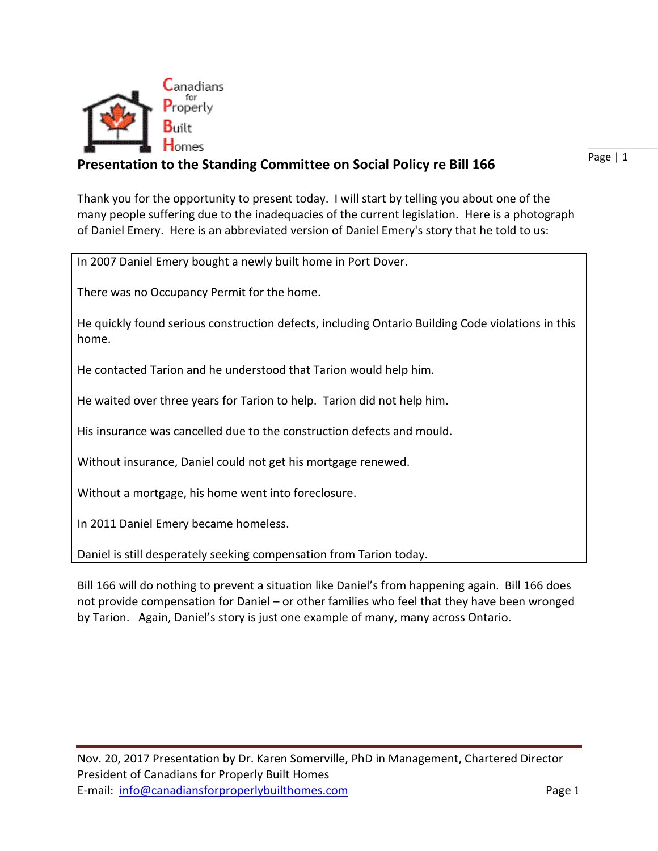

#### **Presentation to the Standing Committee on Social Policy re Bill 166**

Page | 1

Thank you for the opportunity to present today. I will start by telling you about one of the many people suffering due to the inadequacies of the current legislation. Here is a photograph of Daniel Emery. Here is an abbreviated version of Daniel Emery's story that he told to us:

In 2007 Daniel Emery bought a newly built home in Port Dover.

There was no Occupancy Permit for the home.

He quickly found serious construction defects, including Ontario Building Code violations in this home.

He contacted Tarion and he understood that Tarion would help him.

He waited over three years for Tarion to help. Tarion did not help him.

His insurance was cancelled due to the construction defects and mould.

Without insurance, Daniel could not get his mortgage renewed.

Without a mortgage, his home went into foreclosure.

In 2011 Daniel Emery became homeless.

Daniel is still desperately seeking compensation from Tarion today.

Bill 166 will do nothing to prevent a situation like Daniel's from happening again. Bill 166 does not provide compensation for Daniel – or other families who feel that they have been wronged by Tarion. Again, Daniel's story is just one example of many, many across Ontario.

Nov. 20, 2017 Presentation by Dr. Karen Somerville, PhD in Management, Chartered Director President of Canadians for Properly Built Homes E-mail: [info@canadiansforproperlybuilthomes.com](mailto:info@canadiansforproperlybuilthomes.com) Page 1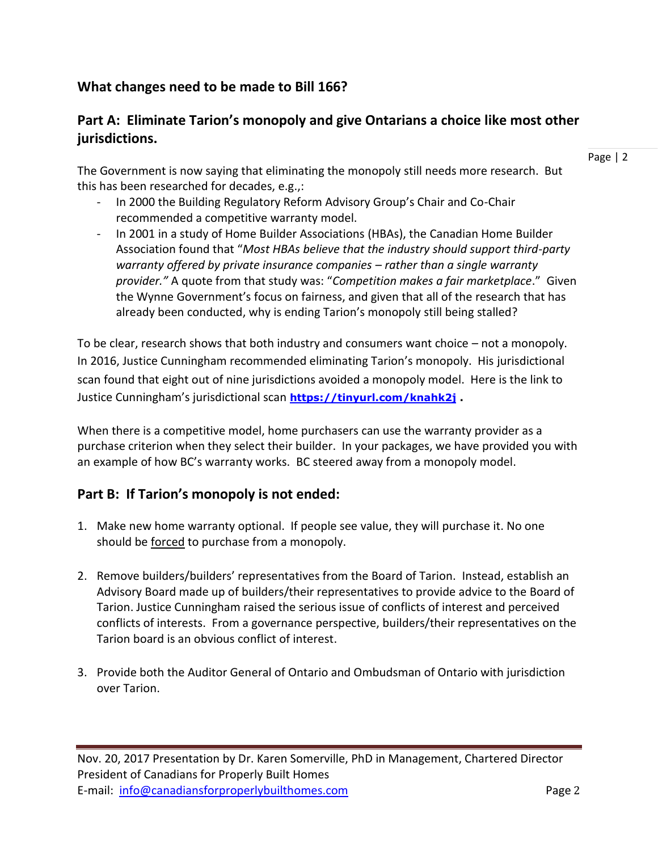# **What changes need to be made to Bill 166?**

## **Part A: Eliminate Tarion's monopoly and give Ontarians a choice like most other jurisdictions.**

The Government is now saying that eliminating the monopoly still needs more research. But this has been researched for decades, e.g.,:

- In 2000 the Building Regulatory Reform Advisory Group's Chair and Co-Chair recommended a competitive warranty model.
- In 2001 in a study of Home Builder Associations (HBAs), the Canadian Home Builder Association found that "*Most HBAs believe that the industry should support third-party warranty offered by private insurance companies – rather than a single warranty provider."* A quote from that study was: "*Competition makes a fair marketplace*." Given the Wynne Government's focus on fairness, and given that all of the research that has already been conducted, why is ending Tarion's monopoly still being stalled?

To be clear, research shows that both industry and consumers want choice – not a monopoly. In 2016, Justice Cunningham recommended eliminating Tarion's monopoly. His jurisdictional scan found that eight out of nine jurisdictions avoided a monopoly model. Here is the link to Justice Cunningham's jurisdictional scan **<https://tinyurl.com/knahk2j> .**

When there is a competitive model, home purchasers can use the warranty provider as a purchase criterion when they select their builder. In your packages, we have provided you with an example of how BC's warranty works. BC steered away from a monopoly model.

#### **Part B: If Tarion's monopoly is not ended:**

- 1. Make new home warranty optional. If people see value, they will purchase it. No one should be <u>forced</u> to purchase from a monopoly.
- 2. Remove builders/builders' representatives from the Board of Tarion. Instead, establish an Advisory Board made up of builders/their representatives to provide advice to the Board of Tarion. Justice Cunningham raised the serious issue of conflicts of interest and perceived conflicts of interests. From a governance perspective, builders/their representatives on the Tarion board is an obvious conflict of interest.
- 3. Provide both the Auditor General of Ontario and Ombudsman of Ontario with jurisdiction over Tarion.

Page | 2

Nov. 20, 2017 Presentation by Dr. Karen Somerville, PhD in Management, Chartered Director President of Canadians for Properly Built Homes E-mail: [info@canadiansforproperlybuilthomes.com](mailto:info@canadiansforproperlybuilthomes.com) Page 2